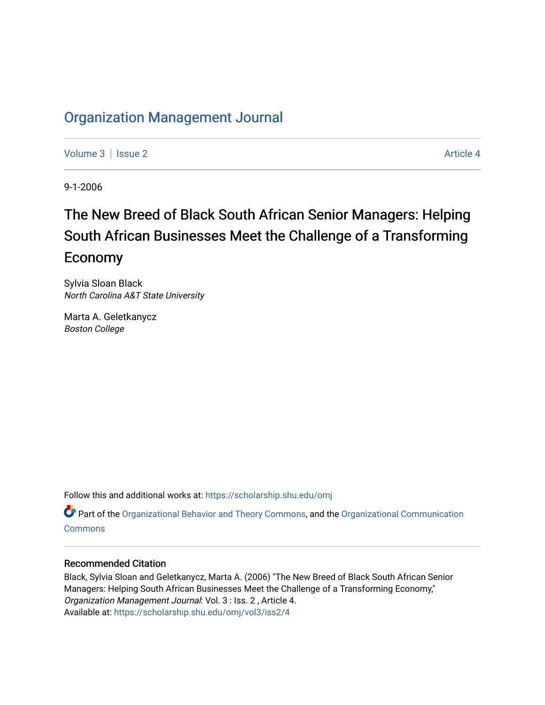# [Organization Management Journal](https://scholarship.shu.edu/omj)

[Volume 3](https://scholarship.shu.edu/omj/vol3) | [Issue 2](https://scholarship.shu.edu/omj/vol3/iss2) Article 4

9-1-2006

# The New Breed of Black South African Senior Managers: Helping South African Businesses Meet the Challenge of a Transforming Economy

Sylvia Sloan Black North Carolina A&T State University

Marta A. Geletkanycz Boston College

Follow this and additional works at: [https://scholarship.shu.edu/omj](https://scholarship.shu.edu/omj?utm_source=scholarship.shu.edu%2Fomj%2Fvol3%2Fiss2%2F4&utm_medium=PDF&utm_campaign=PDFCoverPages) 

Part of the [Organizational Behavior and Theory Commons,](http://network.bepress.com/hgg/discipline/639?utm_source=scholarship.shu.edu%2Fomj%2Fvol3%2Fiss2%2F4&utm_medium=PDF&utm_campaign=PDFCoverPages) and the [Organizational Communication](http://network.bepress.com/hgg/discipline/335?utm_source=scholarship.shu.edu%2Fomj%2Fvol3%2Fiss2%2F4&utm_medium=PDF&utm_campaign=PDFCoverPages) **[Commons](http://network.bepress.com/hgg/discipline/335?utm_source=scholarship.shu.edu%2Fomj%2Fvol3%2Fiss2%2F4&utm_medium=PDF&utm_campaign=PDFCoverPages)** 

#### Recommended Citation

Black, Sylvia Sloan and Geletkanycz, Marta A. (2006) "The New Breed of Black South African Senior Managers: Helping South African Businesses Meet the Challenge of a Transforming Economy," Organization Management Journal: Vol. 3 : Iss. 2 , Article 4. Available at: [https://scholarship.shu.edu/omj/vol3/iss2/4](https://scholarship.shu.edu/omj/vol3/iss2/4?utm_source=scholarship.shu.edu%2Fomj%2Fvol3%2Fiss2%2F4&utm_medium=PDF&utm_campaign=PDFCoverPages)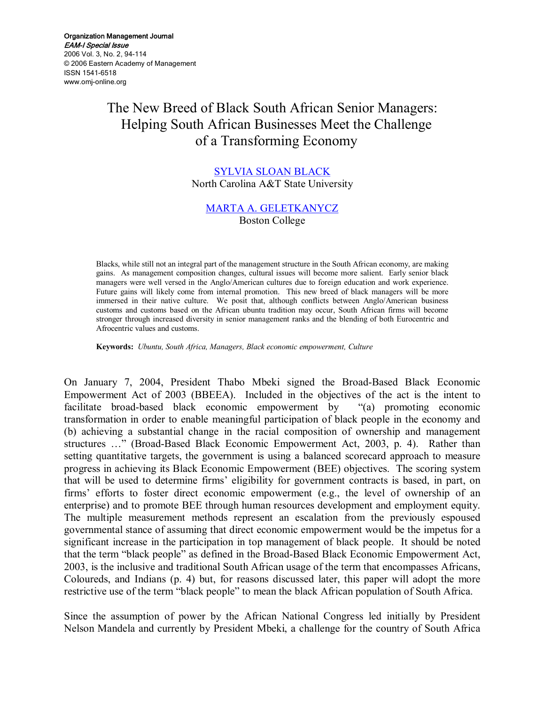# The New Breed of Black South African Senior Managers: Helping South African Businesses Meet the Challenge of a Transforming Economy

#### SYLVIA [SLOAN BLACK](mailto:sylvia.black@ncat.edu) North Carolina A&T State University

#### MARTA A. [GELETKANYCZ](mailto:geletkan@bc.edu) Boston College

Blacks, while still not an integral part of the management structure in the South African economy, are making gains. As management composition changes, cultural issues will become more salient. Early senior black managers were well versed in the Anglo/American cultures due to foreign education and work experience. Future gains will likely come from internal promotion. This new breed of black managers will be more immersed in their native culture. We posit that, although conflicts between Anglo/American business customs and customs based on the African ubuntu tradition may occur, South African firms will become stronger through increased diversity in senior management ranks and the blending of both Eurocentric and Afrocentric values and customs.

**Keywords:** *Ubuntu, South Africa, Managers, Black economic empowerment, Culture*

On January 7, 2004, President Thabo Mbeki signed the Broad-Based Black Economic Empowerment Act of 2003 (BBEEA). Included in the objectives of the act is the intent to facilitate broad-based black economic empowerment by "(a) promoting economic transformation in order to enable meaningful participation of black people in the economy and (b) achieving a substantial change in the racial composition of ownership and management structures ..." (Broad-Based Black Economic Empowerment Act, 2003, p. 4). Rather than setting quantitative targets, the government is using a balanced scorecard approach to measure progress in achieving its Black Economic Empowerment (BEE) objectives. The scoring system that will be used to determine firms' eligibility for government contracts is based, in part, on firms' efforts to foster direct economic empowerment (e.g., the level of ownership of an enterprise) and to promote BEE through human resources development and employment equity. The multiple measurement methods represent an escalation from the previously espoused governmental stance of assuming that direct economic empowerment would be the impetus for a significant increase in the participation in top management of black people. It should be noted that the term "black people" as defined in the Broad-Based Black Economic Empowerment Act, 2003, is the inclusive and traditional South African usage of the term that encompasses Africans, Coloureds, and Indians (p. 4) but, for reasons discussed later, this paper will adopt the more restrictive use of the term "black people" to mean the black African population of South Africa.

Since the assumption of power by the African National Congress led initially by President Nelson Mandela and currently by President Mbeki, a challenge for the country of South Africa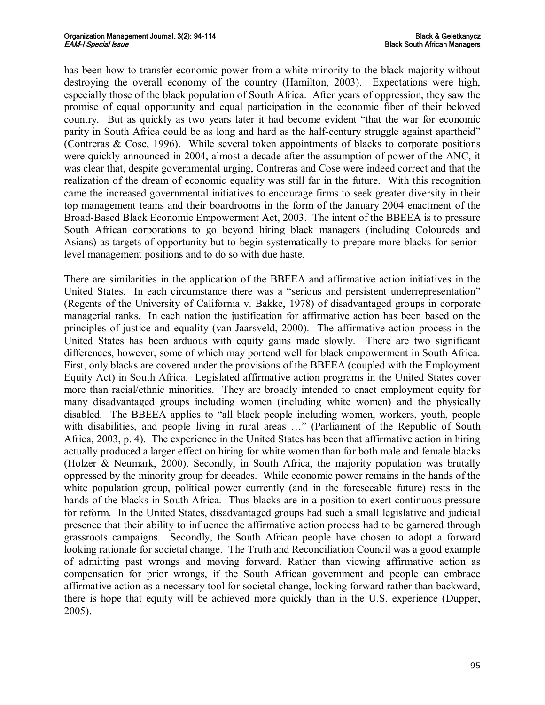has been how to transfer economic power from a white minority to the black majority without destroying the overall economy of the country (Hamilton, 2003). Expectations were high, especially those of the black population of South Africa. After years of oppression, they saw the promise of equal opportunity and equal participation in the economic fiber of their beloved country. But as quickly as two years later it had become evident "that the war for economic parity in South Africa could be as long and hard as the half-century struggle against apartheid" (Contreras & Cose, 1996). While several token appointments of blacks to corporate positions were quickly announced in 2004, almost a decade after the assumption of power of the ANC, it was clear that, despite governmental urging, Contreras and Cose were indeed correct and that the realization of the dream of economic equality was still far in the future. With this recognition came the increased governmental initiatives to encourage firms to seek greater diversity in their top management teams and their boardrooms in the form of the January 2004 enactment of the Broad-Based Black Economic Empowerment Act, 2003. The intent of the BBEEA is to pressure South African corporations to go beyond hiring black managers (including Coloureds and Asians) as targets of opportunity but to begin systematically to prepare more blacks for seniorlevel management positions and to do so with due haste.

There are similarities in the application of the BBEEA and affirmative action initiatives in the United States. In each circumstance there was a "serious and persistent underrepresentation" (Regents of the University of California v. Bakke, 1978) of disadvantaged groups in corporate managerial ranks. In each nation the justification for affirmative action has been based on the principles of justice and equality (van Jaarsveld, 2000). The affirmative action process in the United States has been arduous with equity gains made slowly. There are two significant differences, however, some of which may portend well for black empowerment in South Africa. First, only blacks are covered under the provisions of the BBEEA (coupled with the Employment Equity Act) in South Africa. Legislated affirmative action programs in the United States cover more than racial/ethnic minorities. They are broadly intended to enact employment equity for many disadvantaged groups including women (including white women) and the physically disabled. The BBEEA applies to "all black people including women, workers, youth, people with disabilities, and people living in rural areas ..." (Parliament of the Republic of South Africa, 2003, p. 4). The experience in the United States has been that affirmative action in hiring actually produced a larger effect on hiring for white women than for both male and female blacks (Holzer & Neumark, 2000). Secondly, in South Africa, the majority population was brutally oppressed by the minority group for decades. While economic power remains in the hands of the white population group, political power currently (and in the foreseeable future) rests in the hands of the blacks in South Africa. Thus blacks are in a position to exert continuous pressure for reform. In the United States, disadvantaged groups had such a small legislative and judicial presence that their ability to influence the affirmative action process had to be garnered through grassroots campaigns. Secondly, the South African people have chosen to adopt a forward looking rationale for societal change. The Truth and Reconciliation Council was a good example of admitting past wrongs and moving forward. Rather than viewing affirmative action as compensation for prior wrongs, if the South African government and people can embrace affirmative action as a necessary tool for societal change, looking forward rather than backward, there is hope that equity will be achieved more quickly than in the U.S. experience (Dupper, 2005).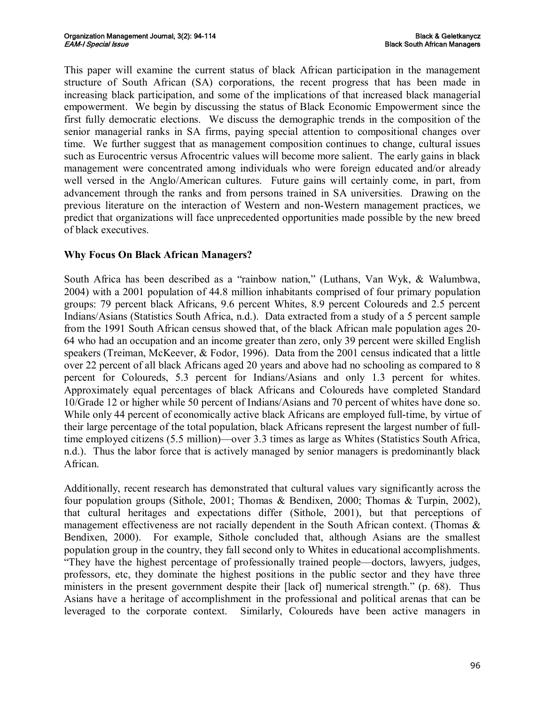This paper will examine the current status of black African participation in the management structure of South African (SA) corporations, the recent progress that has been made in increasing black participation, and some of the implications of that increased black managerial empowerment. We begin by discussing the status of Black Economic Empowerment since the first fully democratic elections. We discuss the demographic trends in the composition of the senior managerial ranks in SA firms, paying special attention to compositional changes over time. We further suggest that as management composition continues to change, cultural issues such as Eurocentric versus Afrocentric values will become more salient. The early gains in black management were concentrated among individuals who were foreign educated and/or already well versed in the Anglo/American cultures. Future gains will certainly come, in part, from advancement through the ranks and from persons trained in SA universities. Drawing on the previous literature on the interaction of Western and non-Western management practices, we predict that organizations will face unprecedented opportunities made possible by the new breed of black executives.

### **Why Focus On Black African Managers?**

South Africa has been described as a "rainbow nation," (Luthans, Van Wyk, & Walumbwa, 2004) with a 2001 population of 44.8 million inhabitants comprised of four primary population groups: 79 percent black Africans, 9.6 percent Whites, 8.9 percent Coloureds and 2.5 percent Indians/Asians (Statistics South Africa, n.d.). Data extracted from a study of a 5 percent sample from the 1991 South African census showed that, of the black African male population ages 20 64 who had an occupation and an income greater than zero, only 39 percent were skilled English speakers (Treiman, McKeever, & Fodor, 1996). Data from the 2001 census indicated that a little over 22 percent of all black Africans aged 20 years and above had no schooling as compared to 8 percent for Coloureds, 5.3 percent for Indians/Asians and only 1.3 percent for whites. Approximately equal percentages of black Africans and Coloureds have completed Standard 10/Grade 12 or higher while 50 percent of Indians/Asians and 70 percent of whites have done so. While only 44 percent of economically active black Africans are employed full-time, by virtue of their large percentage of the total population, black Africans represent the largest number of fulltime employed citizens (5.5 million)—over 3.3 times as large as Whites (Statistics South Africa, n.d.). Thus the labor force that is actively managed by senior managers is predominantly black African.

Additionally, recent research has demonstrated that cultural values vary significantly across the four population groups (Sithole, 2001; Thomas & Bendixen, 2000; Thomas & Turpin, 2002), that cultural heritages and expectations differ (Sithole, 2001), but that perceptions of management effectiveness are not racially dependent in the South African context. (Thomas & Bendixen, 2000). For example, Sithole concluded that, although Asians are the smallest population group in the country, they fall second only to Whites in educational accomplishments. "They have the highest percentage of professionally trained people—doctors, lawyers, judges, professors, etc, they dominate the highest positions in the public sector and they have three ministers in the present government despite their [lack of] numerical strength." (p. 68). Thus Asians have a heritage of accomplishment in the professional and political arenas that can be leveraged to the corporate context. Similarly, Coloureds have been active managers in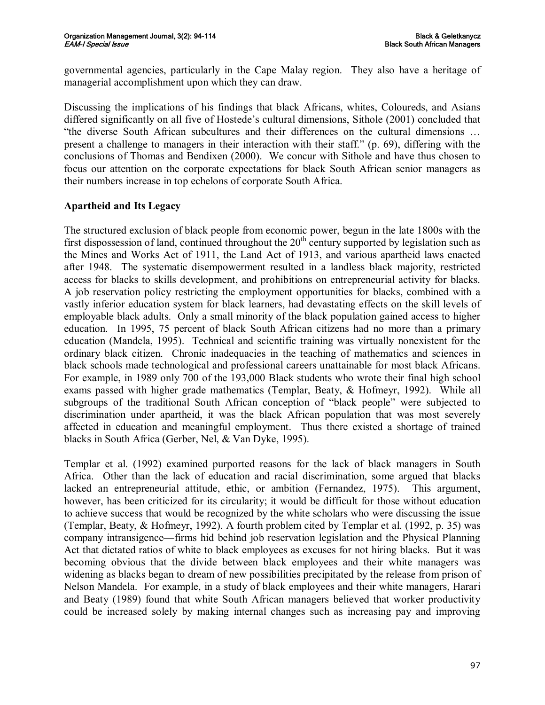governmental agencies, particularly in the Cape Malay region. They also have a heritage of managerial accomplishment upon which they can draw.

Discussing the implications of his findings that black Africans, whites, Coloureds, and Asians differed significantly on all five of Hostede's cultural dimensions, Sithole (2001) concluded that "the diverse South African subcultures and their differences on the cultural dimensions … present a challenge to managers in their interaction with their staff." (p. 69), differing with the conclusions of Thomas and Bendixen (2000). We concur with Sithole and have thus chosen to focus our attention on the corporate expectations for black South African senior managers as their numbers increase in top echelons of corporate South Africa.

## **Apartheid and Its Legacy**

The structured exclusion of black people from economic power, begun in the late 1800s with the first dispossession of land, continued throughout the  $20<sup>th</sup>$  century supported by legislation such as the Mines and Works Act of 1911, the Land Act of 1913, and various apartheid laws enacted after 1948. The systematic disempowerment resulted in a landless black majority, restricted access for blacks to skills development, and prohibitions on entrepreneurial activity for blacks. A job reservation policy restricting the employment opportunities for blacks, combined with a vastly inferior education system for black learners, had devastating effects on the skill levels of employable black adults. Only a small minority of the black population gained access to higher education. In 1995, 75 percent of black South African citizens had no more than a primary education (Mandela, 1995). Technical and scientific training was virtually nonexistent for the ordinary black citizen. Chronic inadequacies in the teaching of mathematics and sciences in black schools made technological and professional careers unattainable for most black Africans. For example, in 1989 only 700 of the 193,000 Black students who wrote their final high school exams passed with higher grade mathematics (Templar, Beaty, & Hofmeyr, 1992). While all subgroups of the traditional South African conception of "black people" were subjected to discrimination under apartheid, it was the black African population that was most severely affected in education and meaningful employment. Thus there existed a shortage of trained blacks in South Africa (Gerber, Nel, & Van Dyke, 1995).

Templar et al. (1992) examined purported reasons for the lack of black managers in South Africa. Other than the lack of education and racial discrimination, some argued that blacks lacked an entrepreneurial attitude, ethic, or ambition (Fernandez, 1975). This argument, however, has been criticized for its circularity; it would be difficult for those without education to achieve success that would be recognized by the white scholars who were discussing the issue (Templar, Beaty, & Hofmeyr, 1992). A fourth problem cited by Templar et al. (1992, p. 35) was company intransigence—firms hid behind job reservation legislation and the Physical Planning Act that dictated ratios of white to black employees as excuses for not hiring blacks. But it was becoming obvious that the divide between black employees and their white managers was widening as blacks began to dream of new possibilities precipitated by the release from prison of Nelson Mandela. For example, in a study of black employees and their white managers, Harari and Beaty (1989) found that white South African managers believed that worker productivity could be increased solely by making internal changes such as increasing pay and improving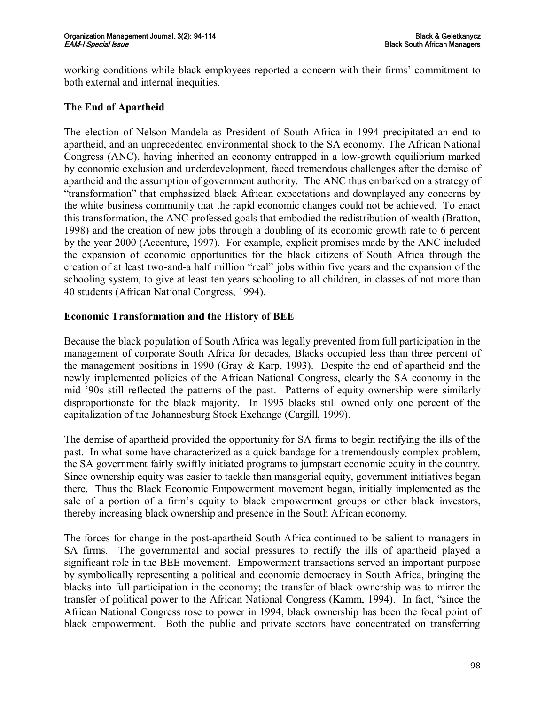working conditions while black employees reported a concern with their firms' commitment to both external and internal inequities.

#### **The End of Apartheid**

The election of Nelson Mandela as President of South Africa in 1994 precipitated an end to apartheid, and an unprecedented environmental shock to the SA economy. The African National Congress (ANC), having inherited an economy entrapped in a low-growth equilibrium marked by economic exclusion and underdevelopment, faced tremendous challenges after the demise of apartheid and the assumption of government authority. The ANC thus embarked on a strategy of "transformation" that emphasized black African expectations and downplayed any concerns by the white business community that the rapid economic changes could not be achieved. To enact this transformation, the ANC professed goals that embodied the redistribution of wealth (Bratton, 1998) and the creation of new jobs through a doubling of its economic growth rate to 6 percent by the year 2000 (Accenture, 1997). For example, explicit promises made by the ANC included the expansion of economic opportunities for the black citizens of South Africa through the creation of at least two-and-a half million "real" jobs within five years and the expansion of the schooling system, to give at least ten years schooling to all children, in classes of not more than 40 students (African National Congress, 1994).

#### **Economic Transformation and the History of BEE**

Because the black population of South Africa was legally prevented from full participation in the management of corporate South Africa for decades, Blacks occupied less than three percent of the management positions in 1990 (Gray & Karp, 1993). Despite the end of apartheid and the newly implemented policies of the African National Congress, clearly the SA economy in the mid '90s still reflected the patterns of the past. Patterns of equity ownership were similarly disproportionate for the black majority. In 1995 blacks still owned only one percent of the capitalization of the Johannesburg Stock Exchange (Cargill, 1999).

The demise of apartheid provided the opportunity for SA firms to begin rectifying the ills of the past. In what some have characterized as a quick bandage for a tremendously complex problem, the SA government fairly swiftly initiated programs to jumpstart economic equity in the country. Since ownership equity was easier to tackle than managerial equity, government initiatives began there. Thus the Black Economic Empowerment movement began, initially implemented as the sale of a portion of a firm's equity to black empowerment groups or other black investors, thereby increasing black ownership and presence in the South African economy.

The forces for change in the post-apartheid South Africa continued to be salient to managers in SA firms. The governmental and social pressures to rectify the ills of apartheid played a significant role in the BEE movement. Empowerment transactions served an important purpose by symbolically representing a political and economic democracy in South Africa, bringing the blacks into full participation in the economy; the transfer of black ownership was to mirror the transfer of political power to the African National Congress (Kamm, 1994). In fact, "since the African National Congress rose to power in 1994, black ownership has been the focal point of black empowerment. Both the public and private sectors have concentrated on transferring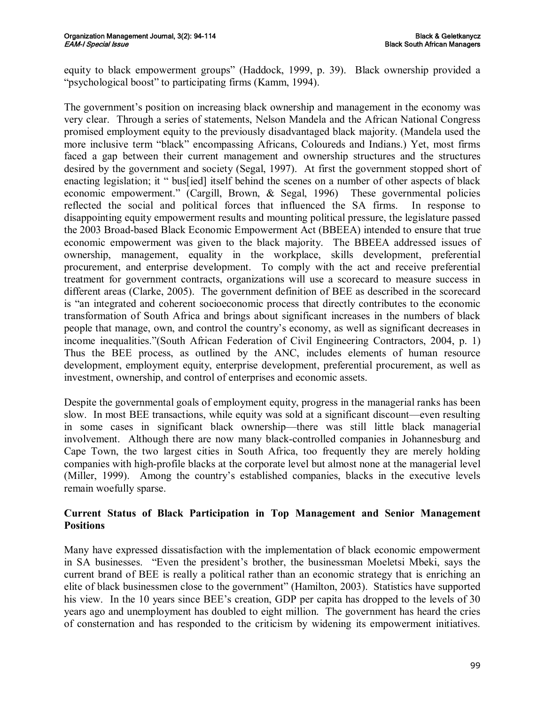equity to black empowerment groups" (Haddock, 1999, p. 39). Black ownership provided a "psychological boost" to participating firms (Kamm, 1994).

The government's position on increasing black ownership and management in the economy was very clear. Through a series of statements, Nelson Mandela and the African National Congress promised employment equity to the previously disadvantaged black majority. (Mandela used the more inclusive term "black" encompassing Africans, Coloureds and Indians.) Yet, most firms faced a gap between their current management and ownership structures and the structures desired by the government and society (Segal, 1997). At first the government stopped short of enacting legislation; it " bus[ied] itself behind the scenes on a number of other aspects of black economic empowerment." (Cargill, Brown, & Segal, 1996) These governmental policies reflected the social and political forces that influenced the SA firms. In response to disappointing equity empowerment results and mounting political pressure, the legislature passed the 2003 Broad-based Black Economic Empowerment Act (BBEEA) intended to ensure that true economic empowerment was given to the black majority. The BBEEA addressed issues of ownership, management, equality in the workplace, skills development, preferential procurement, and enterprise development. To comply with the act and receive preferential treatment for government contracts, organizations will use a scorecard to measure success in different areas (Clarke, 2005). The government definition of BEE as described in the scorecard is "an integrated and coherent socioeconomic process that directly contributes to the economic transformation of South Africa and brings about significant increases in the numbers of black people that manage, own, and control the country's economy, as well as significant decreases in income inequalities."(South African Federation of Civil Engineering Contractors, 2004, p. 1) Thus the BEE process, as outlined by the ANC, includes elements of human resource development, employment equity, enterprise development, preferential procurement, as well as investment, ownership, and control of enterprises and economic assets.

Despite the governmental goals of employment equity, progress in the managerial ranks has been slow. In most BEE transactions, while equity was sold at a significant discount—even resulting in some cases in significant black ownership—there was still little black managerial involvement. Although there are now many black-controlled companies in Johannesburg and Cape Town, the two largest cities in South Africa, too frequently they are merely holding companies with high-profile blacks at the corporate level but almost none at the managerial level (Miller, 1999). Among the country's established companies, blacks in the executive levels remain woefully sparse.

### **Current Status of Black Participation in Top Management and Senior Management Positions**

Many have expressed dissatisfaction with the implementation of black economic empowerment in SA businesses. "Even the president's brother, the businessman Moeletsi Mbeki, says the current brand of BEE is really a political rather than an economic strategy that is enriching an elite of black businessmen close to the government" (Hamilton, 2003). Statistics have supported his view. In the 10 years since BEE's creation, GDP per capita has dropped to the levels of 30 years ago and unemployment has doubled to eight million. The government has heard the cries of consternation and has responded to the criticism by widening its empowerment initiatives.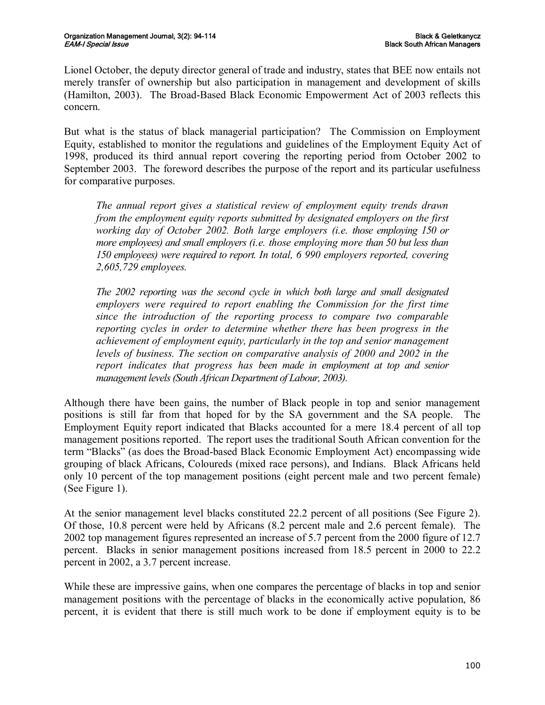Lionel October, the deputy director general of trade and industry, states that BEE now entails not merely transfer of ownership but also participation in management and development of skills (Hamilton, 2003). The Broad-Based Black Economic Empowerment Act of 2003 reflects this concern.

But what is the status of black managerial participation? The Commission on Employment Equity, established to monitor the regulations and guidelines of the Employment Equity Act of 1998, produced its third annual report covering the reporting period from October 2002 to September 2003. The foreword describes the purpose of the report and its particular usefulness for comparative purposes.

*The annual report gives a statistical review of employment equity trends drawn from the employment equity reports submitted by designated employers on the first working day of October 2002. Both large employers (i.e. those employing 150 or more employees) and small employers (i.e. those employing more than 50 but less than 150 employees) were required to report. In total, 6 990 employers reported, covering 2,605,729 employees.*

*The 2002 reporting was the second cycle in which both large and small designated employers were required to report enabling the Commission for the first time since the introduction of the reporting process to compare two comparable reporting cycles in order to determine whether there has been progress in the achievement of employment equity, particularly in the top and senior management levels of business. The section on comparative analysis of 2000 and 2002 in the report indicates that progress has been made in employment at top and senior management levels(South African Department of Labour, 2003).*

Although there have been gains, the number of Black people in top and senior management positions is still far from that hoped for by the SA government and the SA people. The Employment Equity report indicated that Blacks accounted for a mere 18.4 percent of all top management positions reported. The report uses the traditional South African convention for the term "Blacks" (as does the Broad-based Black Economic Employment Act) encompassing wide grouping of black Africans, Coloureds (mixed race persons), and Indians. Black Africans held only 10 percent of the top management positions (eight percent male and two percent female) (See Figure 1).

At the senior management level blacks constituted 22.2 percent of all positions (See Figure 2). Of those, 10.8 percent were held by Africans (8.2 percent male and 2.6 percent female). The 2002 top management figures represented an increase of 5.7 percent from the 2000 figure of 12.7 percent. Blacks in senior management positions increased from 18.5 percent in 2000 to 22.2 percent in 2002, a 3.7 percent increase.

While these are impressive gains, when one compares the percentage of blacks in top and senior management positions with the percentage of blacks in the economically active population, 86 percent, it is evident that there is still much work to be done if employment equity is to be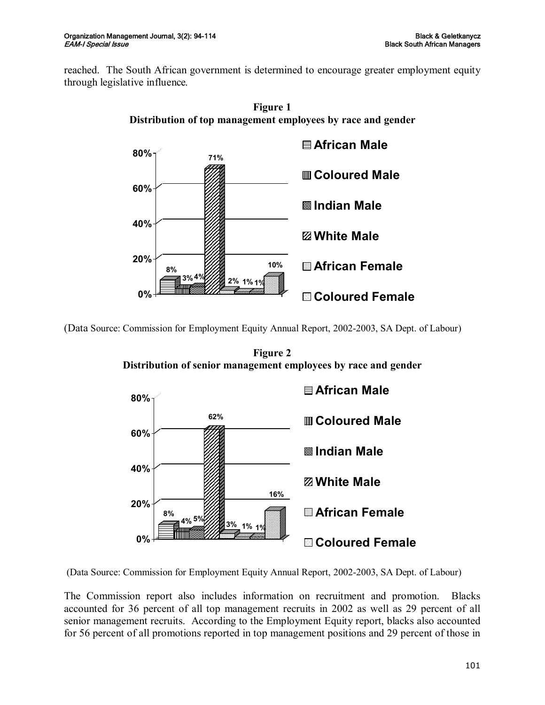reached. The South African government is determined to encourage greater employment equity through legislative influence.





(Data Source: Commission for Employment Equity Annual Report, 2002-2003, SA Dept. of Labour)

**Figure 2 Distribution of senior management employees by race and gender** 



(Data Source: Commission for Employment Equity Annual Report, 2002-2003, SA Dept. of Labour)

The Commission report also includes information on recruitment and promotion. Blacks accounted for 36 percent of all top management recruits in 2002 as well as 29 percent of all senior management recruits. According to the Employment Equity report, blacks also accounted for 56 percent of all promotions reported in top management positions and 29 percent of those in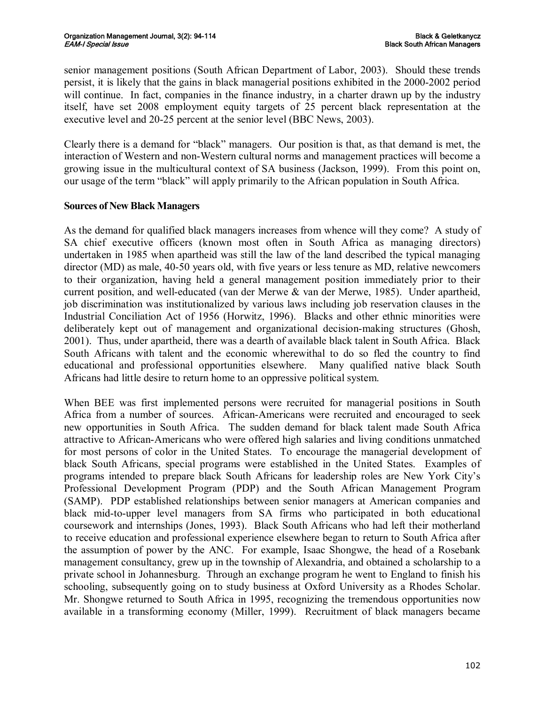senior management positions (South African Department of Labor, 2003). Should these trends persist, it is likely that the gains in black managerial positions exhibited in the 2000-2002 period will continue. In fact, companies in the finance industry, in a charter drawn up by the industry itself, have set 2008 employment equity targets of 25 percent black representation at the executive level and 20-25 percent at the senior level (BBC News, 2003).

Clearly there is a demand for "black" managers. Our position is that, as that demand is met, the interaction of Western and non-Western cultural norms and management practices will become a growing issue in the multicultural context of SA business (Jackson, 1999). From this point on, our usage of the term "black" will apply primarily to the African population in South Africa.

#### **Sources of New Black Managers**

As the demand for qualified black managers increases from whence will they come? A study of SA chief executive officers (known most often in South Africa as managing directors) undertaken in 1985 when apartheid was still the law of the land described the typical managing director (MD) as male, 40-50 years old, with five years or less tenure as MD, relative newcomers to their organization, having held a general management position immediately prior to their current position, and well-educated (van der Merwe & van der Merwe, 1985). Under apartheid, job discrimination was institutionalized by various laws including job reservation clauses in the Industrial Conciliation Act of 1956 (Horwitz, 1996). Blacks and other ethnic minorities were deliberately kept out of management and organizational decision-making structures (Ghosh, 2001). Thus, under apartheid, there was a dearth of available black talent in South Africa. Black South Africans with talent and the economic wherewithal to do so fled the country to find educational and professional opportunities elsewhere. Many qualified native black South Africans had little desire to return home to an oppressive political system.

When BEE was first implemented persons were recruited for managerial positions in South Africa from a number of sources. African-Americans were recruited and encouraged to seek new opportunities in South Africa. The sudden demand for black talent made South Africa attractive to African-Americans who were offered high salaries and living conditions unmatched for most persons of color in the United States. To encourage the managerial development of black South Africans, special programs were established in the United States. Examples of programs intended to prepare black South Africans for leadership roles are New York City's Professional Development Program (PDP) and the South African Management Program (SAMP). PDP established relationships between senior managers at American companies and black mid-to-upper level managers from SA firms who participated in both educational coursework and internships (Jones, 1993). Black South Africans who had left their motherland to receive education and professional experience elsewhere began to return to South Africa after the assumption of power by the ANC. For example, Isaac Shongwe, the head of a Rosebank management consultancy, grew up in the township of Alexandria, and obtained a scholarship to a private school in Johannesburg. Through an exchange program he went to England to finish his schooling, subsequently going on to study business at Oxford University as a Rhodes Scholar. Mr. Shongwe returned to South Africa in 1995, recognizing the tremendous opportunities now available in a transforming economy (Miller, 1999). Recruitment of black managers became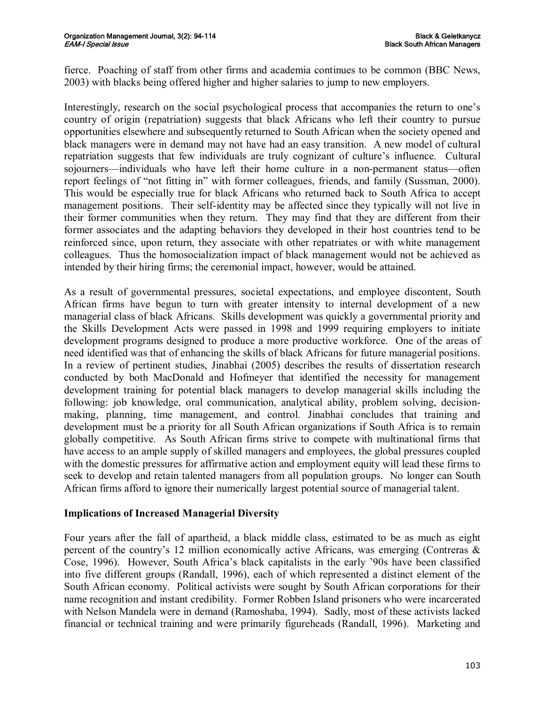fierce. Poaching of staff from other firms and academia continues to be common (BBC News, 2003) with blacks being offered higher and higher salaries to jump to new employers.

Interestingly, research on the social psychological process that accompanies the return to one's country of origin (repatriation) suggests that black Africans who left their country to pursue opportunities elsewhere and subsequently returned to South African when the society opened and black managers were in demand may not have had an easy transition. A new model of cultural repatriation suggests that few individuals are truly cognizant of culture's influence. Cultural sojourners—individuals who have left their home culture in a non-permanent status—often report feelings of "not fitting in" with former colleagues, friends, and family (Sussman, 2000). This would be especially true for black Africans who returned back to South Africa to accept management positions. Their self-identity may be affected since they typically will not live in their former communities when they return. They may find that they are different from their former associates and the adapting behaviors they developed in their host countries tend to be reinforced since, upon return, they associate with other repatriates or with white management colleagues. Thus the homosocialization impact of black management would not be achieved as intended by their hiring firms; the ceremonial impact, however, would be attained.

As a result of governmental pressures, societal expectations, and employee discontent, South African firms have begun to turn with greater intensity to internal development of a new managerial class of black Africans. Skills development was quickly a governmental priority and the Skills Development Acts were passed in 1998 and 1999 requiring employers to initiate development programs designed to produce a more productive workforce. One of the areas of need identified was that of enhancing the skills of black Africans for future managerial positions. In a review of pertinent studies, Jinabhai (2005) describes the results of dissertation research conducted by both MacDonald and Hofmeyer that identified the necessity for management development training for potential black managers to develop managerial skills including the following: job knowledge, oral communication, analytical ability, problem solving, decisionmaking, planning, time management, and control. Jinabhai concludes that training and development must be a priority for all South African organizations if South Africa is to remain globally competitive. As South African firms strive to compete with multinational firms that have access to an ample supply of skilled managers and employees, the global pressures coupled with the domestic pressures for affirmative action and employment equity will lead these firms to seek to develop and retain talented managers from all population groups. No longer can South African firms afford to ignore their numerically largest potential source of managerial talent.

### **Implications of Increased Managerial Diversity**

Four years after the fall of apartheid, a black middle class, estimated to be as much as eight percent of the country's 12 million economically active Africans, was emerging (Contreras & Cose, 1996). However, South Africa's black capitalists in the early '90s have been classified into five different groups (Randall, 1996), each of which represented a distinct element of the South African economy. Political activists were sought by South African corporations for their name recognition and instant credibility. Former Robben Island prisoners who were incarcerated with Nelson Mandela were in demand (Ramoshaba, 1994). Sadly, most of these activists lacked financial or technical training and were primarily figureheads (Randall, 1996). Marketing and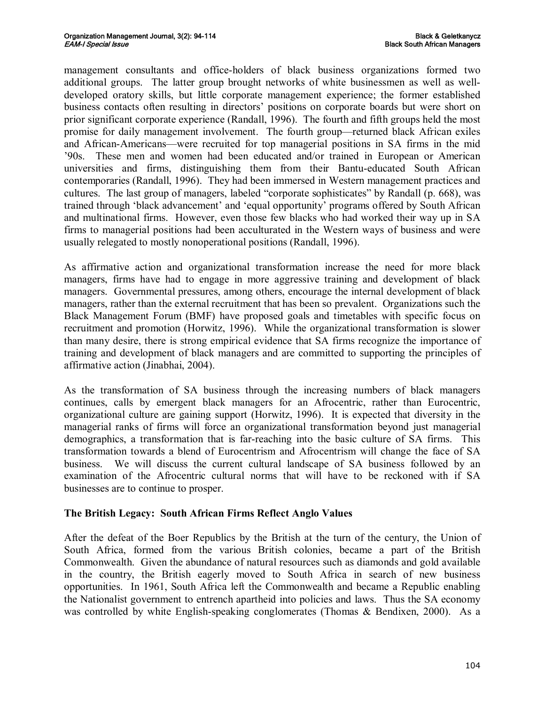management consultants and office-holders of black business organizations formed two additional groups. The latter group brought networks of white businessmen as well as well developed oratory skills, but little corporate management experience; the former established business contacts often resulting in directors' positions on corporate boards but were short on prior significant corporate experience (Randall, 1996). The fourth and fifth groups held the most promise for daily management involvement. The fourth group—returned black African exiles and African-Americans—were recruited for top managerial positions in SA firms in the mid '90s. These men and women had been educated and/or trained in European or American universities and firms, distinguishing them from their Bantu-educated South African contemporaries (Randall, 1996). They had been immersed in Western management practices and cultures. The last group of managers, labeled "corporate sophisticates" by Randall (p. 668), was trained through 'black advancement' and 'equal opportunity' programs offered by South African and multinational firms. However, even those few blacks who had worked their way up in SA firms to managerial positions had been acculturated in the Western ways of business and were usually relegated to mostly nonoperational positions (Randall, 1996).

As affirmative action and organizational transformation increase the need for more black managers, firms have had to engage in more aggressive training and development of black managers. Governmental pressures, among others, encourage the internal development of black managers, rather than the external recruitment that has been so prevalent. Organizations such the Black Management Forum (BMF) have proposed goals and timetables with specific focus on recruitment and promotion (Horwitz, 1996). While the organizational transformation is slower than many desire, there is strong empirical evidence that SA firms recognize the importance of training and development of black managers and are committed to supporting the principles of affirmative action (Jinabhai, 2004).

As the transformation of SA business through the increasing numbers of black managers continues, calls by emergent black managers for an Afrocentric, rather than Eurocentric, organizational culture are gaining support (Horwitz, 1996). It is expected that diversity in the managerial ranks of firms will force an organizational transformation beyond just managerial demographics, a transformation that is far-reaching into the basic culture of SA firms. This transformation towards a blend of Eurocentrism and Afrocentrism will change the face of SA business. We will discuss the current cultural landscape of SA business followed by an examination of the Afrocentric cultural norms that will have to be reckoned with if SA businesses are to continue to prosper.

### **The British Legacy: South African Firms Reflect Anglo Values**

After the defeat of the Boer Republics by the British at the turn of the century, the Union of South Africa, formed from the various British colonies, became a part of the British Commonwealth. Given the abundance of natural resources such as diamonds and gold available in the country, the British eagerly moved to South Africa in search of new business opportunities. In 1961, South Africa left the Commonwealth and became a Republic enabling the Nationalist government to entrench apartheid into policies and laws. Thus the SA economy was controlled by white English-speaking conglomerates (Thomas  $\&$  Bendixen, 2000). As a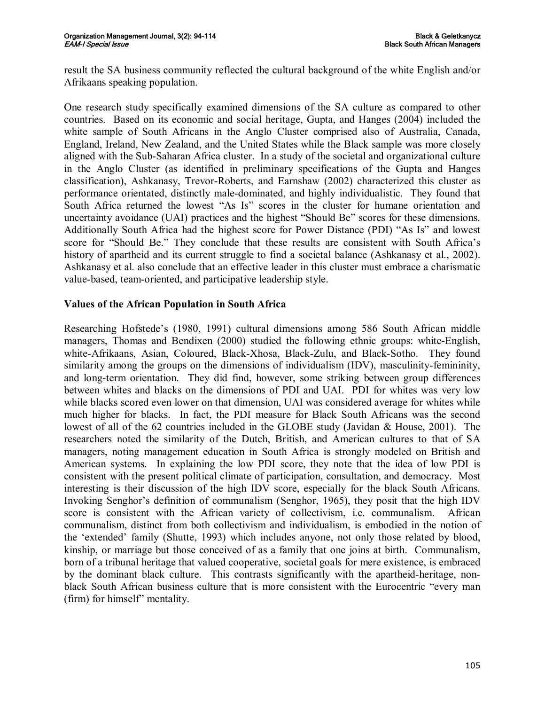result the SA business community reflected the cultural background of the white English and/or Afrikaans speaking population.

One research study specifically examined dimensions of the SA culture as compared to other countries. Based on its economic and social heritage, Gupta, and Hanges (2004) included the white sample of South Africans in the Anglo Cluster comprised also of Australia, Canada, England, Ireland, New Zealand, and the United States while the Black sample was more closely aligned with the Sub-Saharan Africa cluster. In a study of the societal and organizational culture in the Anglo Cluster (as identified in preliminary specifications of the Gupta and Hanges classification), Ashkanasy, Trevor-Roberts, and Earnshaw (2002) characterized this cluster as performance orientated, distinctly maledominated, and highly individualistic. They found that South Africa returned the lowest "As Is" scores in the cluster for humane orientation and uncertainty avoidance (UAI) practices and the highest "Should Be" scores for these dimensions. Additionally South Africa had the highest score for Power Distance (PDI) "As Is" and lowest score for "Should Be." They conclude that these results are consistent with South Africa's history of apartheid and its current struggle to find a societal balance (Ashkanasy et al., 2002). Ashkanasy et al. also conclude that an effective leader in this cluster must embrace a charismatic value-based, team-oriented, and participative leadership style.

### **Values of the African Population in South Africa**

Researching Hofstede's (1980, 1991) cultural dimensions among 586 South African middle managers, Thomas and Bendixen (2000) studied the following ethnic groups: white-English, white-Afrikaans, Asian, Coloured, Black-Xhosa, Black-Zulu, and Black-Sotho. They found similarity among the groups on the dimensions of individualism (IDV), masculinity-femininity, and long-term orientation. They did find, however, some striking between group differences between whites and blacks on the dimensions of PDI and UAI. PDI for whites was very low while blacks scored even lower on that dimension, UAI was considered average for whites while much higher for blacks. In fact, the PDI measure for Black South Africans was the second lowest of all of the 62 countries included in the GLOBE study (Javidan & House, 2001). The researchers noted the similarity of the Dutch, British, and American cultures to that of SA managers, noting management education in South Africa is strongly modeled on British and American systems. In explaining the low PDI score, they note that the idea of low PDI is consistent with the present political climate of participation, consultation, and democracy. Most interesting is their discussion of the high IDV score, especially for the black South Africans. Invoking Senghor's definition of communalism (Senghor, 1965), they posit that the high IDV score is consistent with the African variety of collectivism, i.e. communalism. African communalism, distinct from both collectivism and individualism, is embodied in the notion of the 'extended' family (Shutte, 1993) which includes anyone, not only those related by blood, kinship, or marriage but those conceived of as a family that one joins at birth. Communalism, born of a tribunal heritage that valued cooperative, societal goals for mere existence, is embraced by the dominant black culture. This contrasts significantly with the apartheid-heritage, nonblack South African business culture that is more consistent with the Eurocentric "every man (firm) for himself" mentality.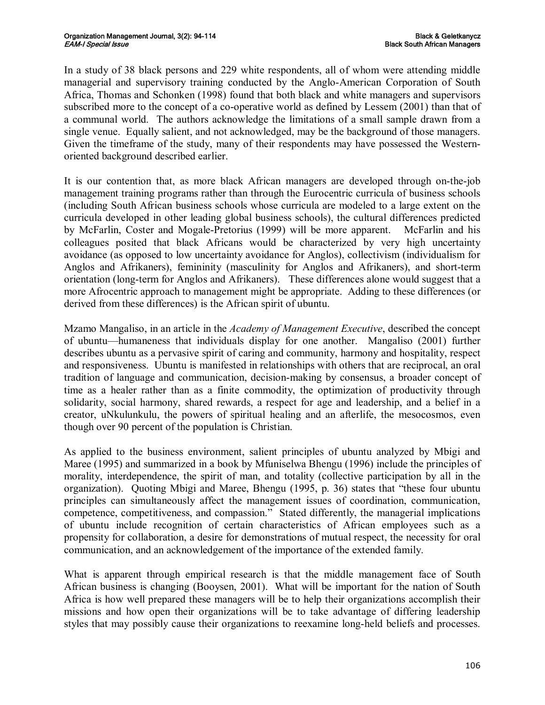In a study of 38 black persons and 229 white respondents, all of whom were attending middle managerial and supervisory training conducted by the Anglo-American Corporation of South Africa, Thomas and Schonken (1998) found that both black and white managers and supervisors subscribed more to the concept of a co-operative world as defined by Lessem (2001) than that of a communal world. The authors acknowledge the limitations of a small sample drawn from a single venue. Equally salient, and not acknowledged, may be the background of those managers. Given the timeframe of the study, many of their respondents may have possessed the Western oriented background described earlier.

It is our contention that, as more black African managers are developed through on-the-job management training programs rather than through the Eurocentric curricula of business schools (including South African business schools whose curricula are modeled to a large extent on the curricula developed in other leading global business schools), the cultural differences predicted by McFarlin, Coster and Mogale-Pretorius (1999) will be more apparent. McFarlin and his colleagues posited that black Africans would be characterized by very high uncertainty avoidance (as opposed to low uncertainty avoidance for Anglos), collectivism (individualism for Anglos and Afrikaners), femininity (masculinity for Anglos and Afrikaners), and short-term orientation (long-term for Anglos and Afrikaners). These differences alone would suggest that a more Afrocentric approach to management might be appropriate. Adding to these differences (or derived from these differences) is the African spirit of ubuntu.

Mzamo Mangaliso, in an article in the *Academy of Management Executive*, described the concept of ubuntu—humaneness that individuals display for one another. Mangaliso (2001) further describes ubuntu as a pervasive spirit of caring and community, harmony and hospitality, respect and responsiveness. Ubuntu is manifested in relationships with others that are reciprocal, an oral tradition of language and communication, decision-making by consensus, a broader concept of time as a healer rather than as a finite commodity, the optimization of productivity through solidarity, social harmony, shared rewards, a respect for age and leadership, and a belief in a creator, uNkulunkulu, the powers of spiritual healing and an afterlife, the mesocosmos, even though over 90 percent of the population is Christian.

As applied to the business environment, salient principles of ubuntu analyzed by Mbigi and Maree (1995) and summarized in a book by Mfuniselwa Bhengu (1996) include the principles of morality, interdependence, the spirit of man, and totality (collective participation by all in the organization). Quoting Mbigi and Maree, Bhengu (1995, p. 36) states that "these four ubuntu principles can simultaneously affect the management issues of coordination, communication, competence, competitiveness, and compassion." Stated differently, the managerial implications of ubuntu include recognition of certain characteristics of African employees such as a propensity for collaboration, a desire for demonstrations of mutual respect, the necessity for oral communication, and an acknowledgement of the importance of the extended family.

What is apparent through empirical research is that the middle management face of South African business is changing (Booysen, 2001). What will be important for the nation of South Africa is how well prepared these managers will be to help their organizations accomplish their missions and how open their organizations will be to take advantage of differing leadership styles that may possibly cause their organizations to reexamine long-held beliefs and processes.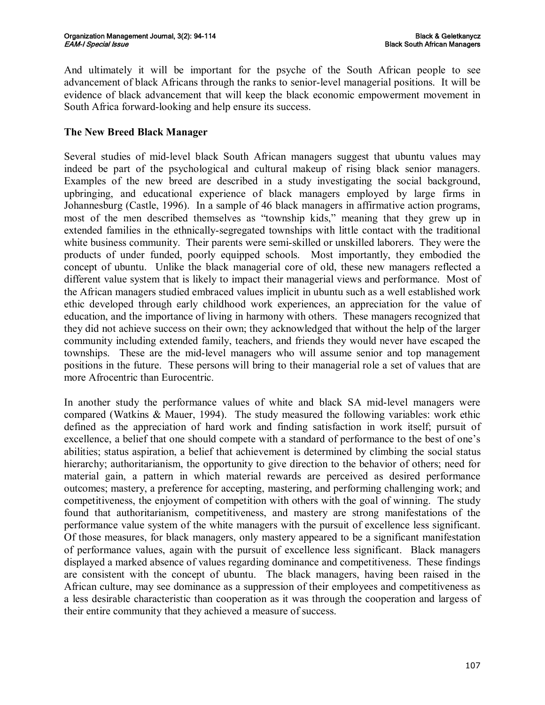And ultimately it will be important for the psyche of the South African people to see advancement of black Africans through the ranks to senior-level managerial positions. It will be evidence of black advancement that will keep the black economic empowerment movement in South Africa forward-looking and help ensure its success.

### **The New Breed Black Manager**

Several studies of mid-level black South African managers suggest that ubuntu values may indeed be part of the psychological and cultural makeup of rising black senior managers. Examples of the new breed are described in a study investigating the social background, upbringing, and educational experience of black managers employed by large firms in Johannesburg (Castle, 1996). In a sample of 46 black managers in affirmative action programs, most of the men described themselves as "township kids," meaning that they grew up in extended families in the ethnically-segregated townships with little contact with the traditional white business community. Their parents were semi-skilled or unskilled laborers. They were the products of under funded, poorly equipped schools. Most importantly, they embodied the concept of ubuntu. Unlike the black managerial core of old, these new managers reflected a different value system that is likely to impact their managerial views and performance. Most of the African managers studied embraced values implicit in ubuntu such as a well established work ethic developed through early childhood work experiences, an appreciation for the value of education, and the importance of living in harmony with others. These managers recognized that they did not achieve success on their own; they acknowledged that without the help of the larger community including extended family, teachers, and friends they would never have escaped the townships. These are the mid-level managers who will assume senior and top management positions in the future. These persons will bring to their managerial role a set of values that are more Afrocentric than Eurocentric.

In another study the performance values of white and black SA mid-level managers were compared (Watkins & Mauer, 1994). The study measured the following variables: work ethic defined as the appreciation of hard work and finding satisfaction in work itself; pursuit of excellence, a belief that one should compete with a standard of performance to the best of one's abilities; status aspiration, a belief that achievement is determined by climbing the social status hierarchy; authoritarianism, the opportunity to give direction to the behavior of others; need for material gain, a pattern in which material rewards are perceived as desired performance outcomes; mastery, a preference for accepting, mastering, and performing challenging work; and competitiveness, the enjoyment of competition with others with the goal of winning. The study found that authoritarianism, competitiveness, and mastery are strong manifestations of the performance value system of the white managers with the pursuit of excellence less significant. Of those measures, for black managers, only mastery appeared to be a significant manifestation of performance values, again with the pursuit of excellence less significant. Black managers displayed a marked absence of values regarding dominance and competitiveness. These findings are consistent with the concept of ubuntu. The black managers, having been raised in the African culture, may see dominance as a suppression of their employees and competitiveness as a less desirable characteristic than cooperation as it was through the cooperation and largess of their entire community that they achieved a measure of success.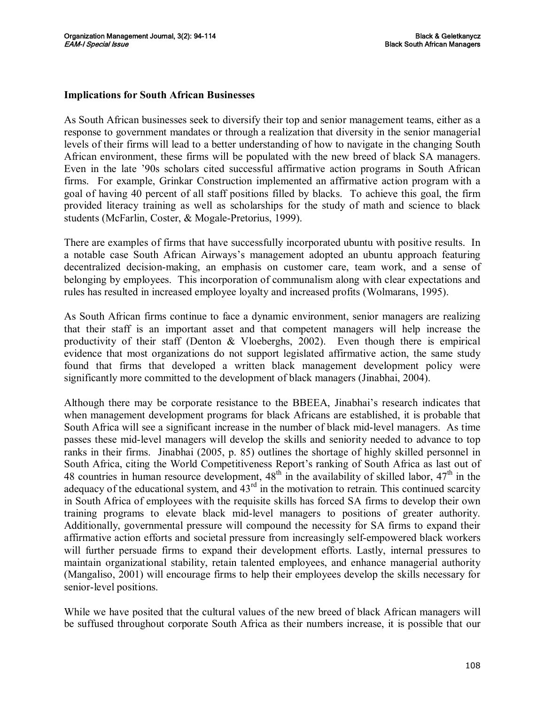#### **Implications for South African Businesses**

As South African businesses seek to diversify their top and senior management teams, either as a response to government mandates or through a realization that diversity in the senior managerial levels of their firms will lead to a better understanding of how to navigate in the changing South African environment, these firms will be populated with the new breed of black SA managers. Even in the late '90s scholars cited successful affirmative action programs in South African firms. For example, Grinkar Construction implemented an affirmative action program with a goal of having 40 percent of all staff positions filled by blacks. To achieve this goal, the firm provided literacy training as well as scholarships for the study of math and science to black students (McFarlin, Coster, & Mogale-Pretorius, 1999).

There are examples of firms that have successfully incorporated ubuntu with positive results. In a notable case South African Airways's management adopted an ubuntu approach featuring decentralized decision-making, an emphasis on customer care, team work, and a sense of belonging by employees. This incorporation of communalism along with clear expectations and rules has resulted in increased employee loyalty and increased profits (Wolmarans, 1995).

As South African firms continue to face a dynamic environment, senior managers are realizing that their staff is an important asset and that competent managers will help increase the productivity of their staff (Denton  $&$  Vloeberghs, 2002). Even though there is empirical evidence that most organizations do not support legislated affirmative action, the same study found that firms that developed a written black management development policy were significantly more committed to the development of black managers (Jinabhai, 2004).

Although there may be corporate resistance to the BBEEA, Jinabhai's research indicates that when management development programs for black Africans are established, it is probable that South Africa will see a significant increase in the number of black mid-level managers. As time passes these midlevel managers will develop the skills and seniority needed to advance to top ranks in their firms. Jinabhai (2005, p. 85) outlines the shortage of highly skilled personnel in South Africa, citing the World Competitiveness Report's ranking of South Africa as last out of 48 countries in human resource development,  $48<sup>th</sup>$  in the availability of skilled labor,  $47<sup>th</sup>$  in the adequacy of the educational system, and  $43<sup>rd</sup>$  in the motivation to retrain. This continued scarcity in South Africa of employees with the requisite skills has forced SA firms to develop their own training programs to elevate black mid-level managers to positions of greater authority. Additionally, governmental pressure will compound the necessity for SA firms to expand their affirmative action efforts and societal pressure from increasingly selfempowered black workers will further persuade firms to expand their development efforts. Lastly, internal pressures to maintain organizational stability, retain talented employees, and enhance managerial authority (Mangaliso, 2001) will encourage firms to help their employees develop the skills necessary for senior-level positions.

While we have posited that the cultural values of the new breed of black African managers will be suffused throughout corporate South Africa as their numbers increase, it is possible that our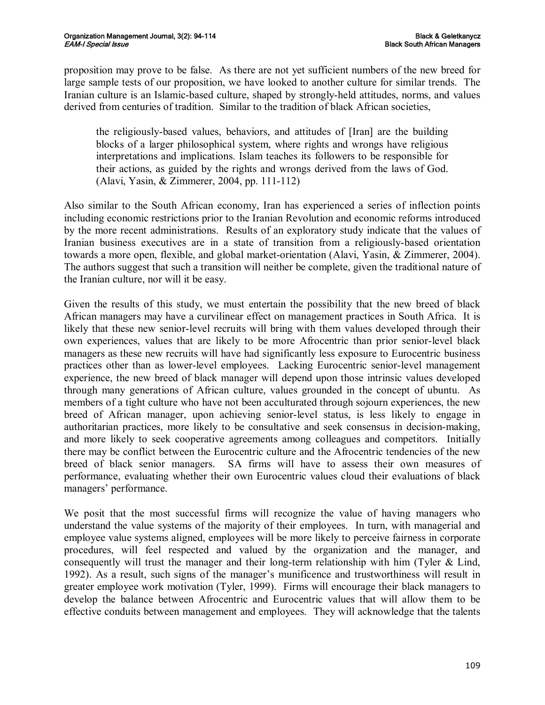proposition may prove to be false. As there are not yet sufficient numbers of the new breed for large sample tests of our proposition, we have looked to another culture for similar trends. The Iranian culture is an Islamic-based culture, shaped by strongly-held attitudes, norms, and values derived from centuries of tradition. Similar to the tradition of black African societies,

the religiously-based values, behaviors, and attitudes of [Iran] are the building blocks of a larger philosophical system, where rights and wrongs have religious interpretations and implications. Islam teaches its followers to be responsible for their actions, as guided by the rights and wrongs derived from the laws of God. (Alavi, Yasin, & Zimmerer, 2004, pp. 111-112)

Also similar to the South African economy, Iran has experienced a series of inflection points including economic restrictions prior to the Iranian Revolution and economic reforms introduced by the more recent administrations. Results of an exploratory study indicate that the values of Iranian business executives are in a state of transition from a religiouslybased orientation towards a more open, flexible, and global market-orientation (Alavi, Yasin, & Zimmerer, 2004). The authors suggest that such a transition will neither be complete, given the traditional nature of the Iranian culture, nor will it be easy.

Given the results of this study, we must entertain the possibility that the new breed of black African managers may have a curvilinear effect on management practices in South Africa. It is likely that these new senior-level recruits will bring with them values developed through their own experiences, values that are likely to be more Afrocentric than prior senior-level black managers as these new recruits will have had significantly less exposure to Eurocentric business practices other than as lower-level employees. Lacking Eurocentric senior-level management experience, the new breed of black manager will depend upon those intrinsic values developed through many generations of African culture, values grounded in the concept of ubuntu. As members of a tight culture who have not been acculturated through sojourn experiences, the new breed of African manager, upon achieving senior-level status, is less likely to engage in authoritarian practices, more likely to be consultative and seek consensus in decision-making, and more likely to seek cooperative agreements among colleagues and competitors. Initially there may be conflict between the Eurocentric culture and the Afrocentric tendencies of the new breed of black senior managers. SA firms will have to assess their own measures of performance, evaluating whether their own Eurocentric values cloud their evaluations of black managers' performance.

We posit that the most successful firms will recognize the value of having managers who understand the value systems of the majority of their employees. In turn, with managerial and employee value systems aligned, employees will be more likely to perceive fairness in corporate procedures, will feel respected and valued by the organization and the manager, and consequently will trust the manager and their long-term relationship with him (Tyler  $\&$  Lind, 1992). As a result, such signs of the manager's munificence and trustworthiness will result in greater employee work motivation (Tyler, 1999). Firms will encourage their black managers to develop the balance between Afrocentric and Eurocentric values that will allow them to be effective conduits between management and employees. They will acknowledge that the talents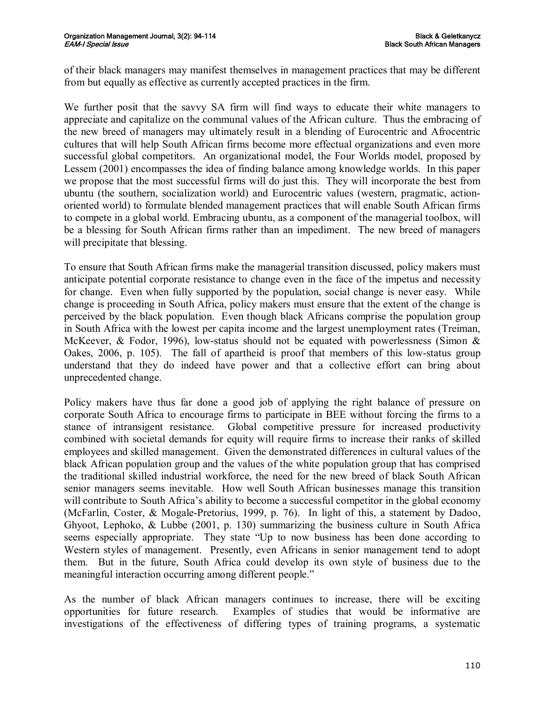of their black managers may manifest themselves in management practices that may be different from but equally as effective as currently accepted practices in the firm.

We further posit that the savvy SA firm will find ways to educate their white managers to appreciate and capitalize on the communal values of the African culture. Thus the embracing of the new breed of managers may ultimately result in a blending of Eurocentric and Afrocentric cultures that will help South African firms become more effectual organizations and even more successful global competitors. An organizational model, the Four Worlds model, proposed by Lessem (2001) encompasses the idea of finding balance among knowledge worlds. In this paper we propose that the most successful firms will do just this. They will incorporate the best from ubuntu (the southern, socialization world) and Eurocentric values (western, pragmatic, action oriented world) to formulate blended management practices that will enable South African firms to compete in a global world. Embracing ubuntu, as a component of the managerial toolbox, will be a blessing for South African firms rather than an impediment. The new breed of managers will precipitate that blessing.

To ensure that South African firms make the managerial transition discussed, policy makers must anticipate potential corporate resistance to change even in the face of the impetus and necessity for change. Even when fully supported by the population, social change is never easy. While change is proceeding in South Africa, policy makers must ensure that the extent of the change is perceived by the black population. Even though black Africans comprise the population group in South Africa with the lowest per capita income and the largest unemployment rates (Treiman, McKeever, & Fodor, 1996), low-status should not be equated with powerlessness (Simon  $\&$ Oakes, 2006, p. 105). The fall of apartheid is proof that members of this low-status group understand that they do indeed have power and that a collective effort can bring about unprecedented change.

Policy makers have thus far done a good job of applying the right balance of pressure on corporate South Africa to encourage firms to participate in BEE without forcing the firms to a stance of intransigent resistance. Global competitive pressure for increased productivity combined with societal demands for equity will require firms to increase their ranks of skilled employees and skilled management. Given the demonstrated differences in cultural values of the black African population group and the values of the white population group that has comprised the traditional skilled industrial workforce, the need for the new breed of black South African senior managers seems inevitable. How well South African businesses manage this transition will contribute to South Africa's ability to become a successful competitor in the global economy (McFarlin, Coster,  $& Mogale-Pretorius, 1999, p. 76$ ). In light of this, a statement by Dadoo, Ghyoot, Lephoko, & Lubbe (2001, p. 130) summarizing the business culture in South Africa seems especially appropriate. They state "Up to now business has been done according to Western styles of management. Presently, even Africans in senior management tend to adopt them. But in the future, South Africa could develop its own style of business due to the meaningful interaction occurring among different people."

As the number of black African managers continues to increase, there will be exciting opportunities for future research. Examples of studies that would be informative are investigations of the effectiveness of differing types of training programs, a systematic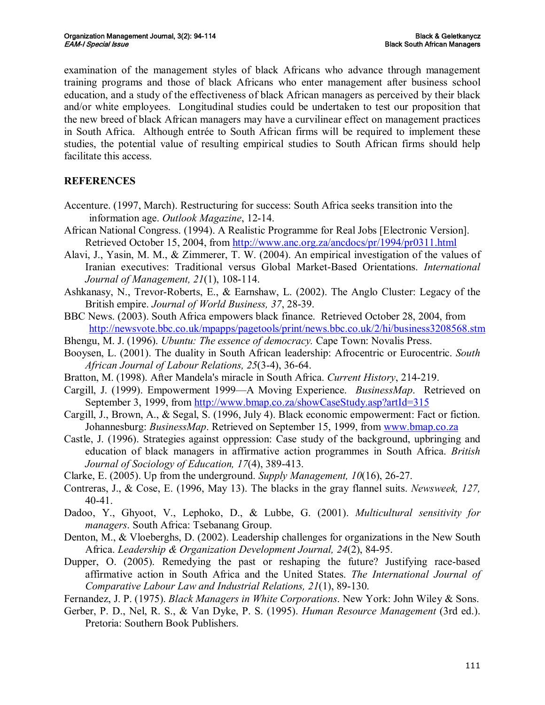examination of the management styles of black Africans who advance through management training programs and those of black Africans who enter management after business school education, and a study of the effectiveness of black African managers as perceived by their black and/or white employees. Longitudinal studies could be undertaken to test our proposition that the new breed of black African managers may have a curvilinear effect on management practices in South Africa. Although entrée to South African firms will be required to implement these studies, the potential value of resulting empirical studies to South African firms should help facilitate this access.

## **REFERENCES**

- Accenture. (1997, March). Restructuring for success: South Africa seeks transition into the information age. *Outlook Magazine*, 12-14.
- African National Congress. (1994). A Realistic Programme for Real Jobs [Electronic Version]. Retrieved October 15, 2004, from <http://www.anc.org.za/ancdocs/pr/1994/pr0311.html>
- Alavi, J., Yasin, M. M., & Zimmerer, T. W. (2004). An empirical investigation of the values of Iranian executives: Traditional versus Global Market-Based Orientations. *International Journal of Management, 21(1), 108-114.*
- Ashkanasy, N., Trevor-Roberts, E., & Earnshaw, L. (2002). The Anglo Cluster: Legacy of the British empire. *Journal of World Business*, 37, 28-39.
- BBC News. (2003). South Africa empowers black finance. Retrieved October 28, 2004, from [http://newsvote.bbc.co.uk/mpapps/pagetools/print/news.bbc.co.uk/2/hi/business3208568.stm](http://newsvote.bbc.co.uk/mpapps/pagetools/print/news.bbc.co.uk/2/hi/business)
- Bhengu, M. J. (1996). *Ubuntu: The essence of democracy.* Cape Town: Novalis Press.
- Booysen, L. (2001). The duality in South African leadership: Afrocentric or Eurocentric. *South*  African Journal of Labour Relations, 25(3-4), 36-64.
- Bratton, M. (1998). After Mandela's miracle in South Africa. *Current History*, 214219.
- Cargill, J. (1999). Empowerment 1999—A Moving Experience. *BusinessMap*. Retrieved on September 3, 1999, from <http://www.bmap.co.za/showCaseStudy.asp?artId=315>
- Cargill, J., Brown, A., & Segal, S. (1996, July 4). Black economic empowerment: Fact or fiction. Johannesburg: *BusinessMap*. Retrieved on September 15, 1999, from [www.bmap.co.za](http://www.bmap.co.za/)
- Castle, J. (1996). Strategies against oppression: Case study of the background, upbringing and education of black managers in affirmative action programmes in South Africa. *British Journal of Sociology of Education, 17(4), 389-413.*
- Clarke, E. (2005). Up from the underground. *Supply Management*, 10(16), 26-27.
- Contreras, J., & Cose, E. (1996, May 13). The blacks in the gray flannel suits. *Newsweek, 127,* 4041.
- Dadoo, Y., Ghyoot, V., Lephoko, D., & Lubbe, G. (2001). *Multicultural sensitivity for managers*. South Africa: Tsebanang Group.
- Denton, M., & Vloeberghs, D. (2002). Leadership challenges for organizations in the New South Africa. *Leadership & Organization Development Journal, 24*(2), 8495.
- Dupper, O. (2005). Remedying the past or reshaping the future? Justifying race-based affirmative action in South Africa and the United States. *The International Journal of Comparative Labour Law and Industrial Relations, 21(1), 89-130.*

Fernandez, J. P. (1975). *Black Managers in White Corporations*. New York: John Wiley & Sons.

Gerber, P. D., Nel, R. S., & Van Dyke, P. S. (1995). *Human Resource Management* (3rd ed.). Pretoria: Southern Book Publishers.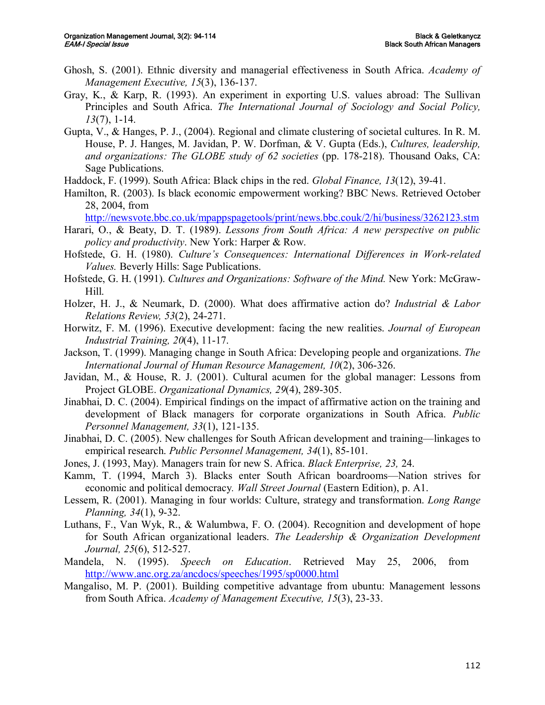- Ghosh, S. (2001). Ethnic diversity and managerial effectiveness in South Africa. *Academy of Management Executive, 15(3), 136-137.*
- Gray, K., & Karp, R. (1993). An experiment in exporting U.S. values abroad: The Sullivan Principles and South Africa. *The International Journal of Sociology and Social Policy,*  $13(7)$ , 1-14.
- Gupta, V., & Hanges, P. J., (2004). Regional and climate clustering of societal cultures. In R. M. House, P. J. Hanges, M. Javidan, P. W. Dorfman, & V. Gupta (Eds.), *Cultures, leadership, and organizations: The GLOBE study of 62 societies* (pp. 178-218). Thousand Oaks, CA: Sage Publications.
- Haddock, F. (1999). South Africa: Black chips in the red. *Global Finance, 13*(12), 3941.
- Hamilton, R. (2003). Is black economic empowerment working? BBC News. Retrieved October 28, 2004, from

<http://newsvote.bbc.co.uk/mpappspagetools/print/news.bbc.couk/2/hi/business/3262123.stm>

- Harari, O., & Beaty, D. T. (1989). *Lessons from South Africa: A new perspective on public policy and productivity*. New York: Harper & Row.
- Hofstede, G. H. (1980). *Culture's Consequences: International Differences in Workrelated Values.* Beverly Hills: Sage Publications.
- Hofstede, G. H. (1991). *Cultures and Organizations: Software of the Mind.* New York: McGraw Hill.
- Holzer, H. J., & Neumark, D. (2000). What does affirmative action do? *Industrial & Labor Relations Review, 53(2), 24-271.*
- Horwitz, F. M. (1996). Executive development: facing the new realities. *Journal of European Industrial Training, 20(4), 11-17.*
- Jackson, T. (1999). Managing change in South Africa: Developing people and organizations. *The International Journal of Human Resource Management, 10(2), 306-326.*
- Javidan, M., & House, R. J. (2001). Cultural acumen for the global manager: Lessons from Project GLOBE. *Organizational Dynamics*, 29(4), 289-305.
- Jinabhai, D. C. (2004). Empirical findings on the impact of affirmative action on the training and development of Black managers for corporate organizations in South Africa. *Public Personnel Management, 33(1), 121-135.*
- Jinabhai, D. C. (2005). New challenges for South African development and training—linkages to empirical research. *Public Personnel Management*, 34(1), 85-101.
- Jones, J. (1993, May). Managers train for new S. Africa. *Black Enterprise, 23,* 24.
- Kamm, T. (1994, March 3). Blacks enter South African boardrooms—Nation strives for economic and political democracy*. Wall Street Journal* (Eastern Edition), p. A1.
- Lessem, R. (2001). Managing in four worlds: Culture, strategy and transformation. *Long Range Planning,* 34(1), 9-32.
- Luthans, F., Van Wyk, R., & Walumbwa, F. O. (2004). Recognition and development of hope for South African organizational leaders. *The Leadership & Organization Development Journal,* 25(6), 512-527.
- Mandela, N. (1995). *Speech on Education*. Retrieved May 25, 2006, from <http://www.anc.org.za/ancdocs/speeches/1995/sp0000.html>
- Mangaliso, M. P. (2001). Building competitive advantage from ubuntu: Management lessons from South Africa. *Academy of Management Executive, 15(3), 23-33.*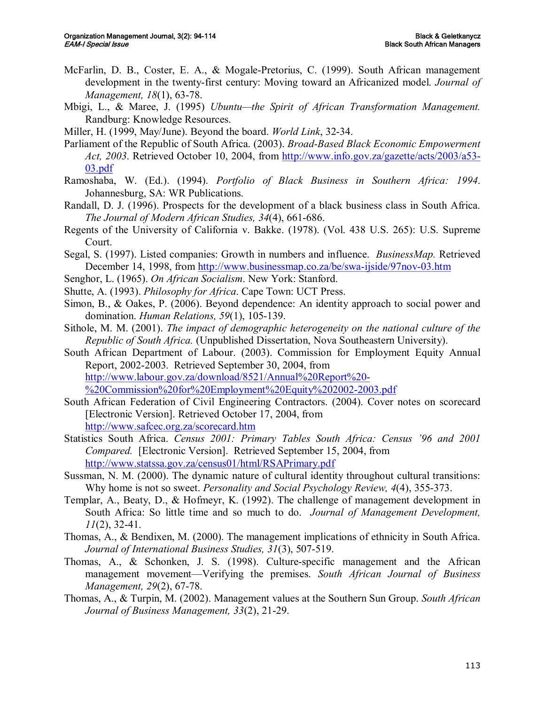- McFarlin, D. B., Coster, E. A., & Mogale-Pretorius, C. (1999). South African management development in the twenty-first century: Moving toward an Africanized model. *Journal of Management,* 18(1), 63-78.
- Mbigi, L., & Maree, J. (1995) *Ubuntu—the Spirit of African Transformation Management.* Randburg: Knowledge Resources.
- Miller, H. (1999, May/June). Beyond the board. *World Link*, 3234.
- Parliament of the Republic of South Africa. (2003). *Broad-Based Black Economic Empowerment Act, 2003*. Retrieved October 10, 2004, [from http://www.info.gov.za/gazette/acts/2003/a53](http://www.info.gov.za/gazette/acts/2003/a53-03.pdf) 03.pdf
- Ramoshaba, W. (Ed.). (1994). *Portfolio of Black Business in Southern Africa: 1994*. Johannesburg, SA: WR Publications.
- Randall, D. J. (1996). Prospects for the development of a black business class in South Africa. *The Journal of Modern African Studies, 34(4), 661-686.*
- Regents of the University of California v. Bakke. (1978). (Vol. 438 U.S. 265): U.S. Supreme Court.
- Segal, S. (1997). Listed companies: Growth in numbers and influence. *BusinessMap.* Retrieved December 14, 1998, from http://www.businessmap.co.za/be/swa-ijside/97nov-03.htm
- Senghor, L. (1965). *On African Socialism*. New York: Stanford.
- Shutte, A. (1993). *Philosophy for Africa*. Cape Town: UCT Press.
- Simon, B., & Oakes, P. (2006). Beyond dependence: An identity approach to social power and domination. *Human Relations, 59*(1), 105139.
- Sithole, M. M. (2001). *The impact of demographic heterogeneity on the national culture of the Republic of South Africa.* (Unpublished Dissertation, Nova Southeastern University).
- South African Department of Labour. (2003). Commission for Employment Equity Annual Report, 2002-2003. Retrieved September 30, 2004, from http://www.labour.gov.za/download/8521/Annual%20Report%20-%20Commission%20for%20Employment%20Equity%202002-2003.pdf
- South African Federation of Civil Engineering Contractors. (2004). Cover notes on scorecard [Electronic Version]. Retrieved October 17, 2004, from <http://www.safcec.org.za/scorecard.htm>
- Statistics South Africa. *Census 2001: Primary Tables South Africa: Census '96 and 2001 Compared.* [Electronic Version]. Retrieved September 15, 2004, from <http://www.statssa.gov.za/census01/html/RSAPrimary.pdf>
- Sussman, N. M. (2000). The dynamic nature of cultural identity throughout cultural transitions: Why home is not so sweet. *Personality and Social Psychology Review, 4*(4), 355-373.
- Templar, A., Beaty, D., & Hofmeyr, K. (1992). The challenge of management development in South Africa: So little time and so much to do. *Journal of Management Development,*  $11(2)$ , 32-41.
- Thomas, A., & Bendixen, M. (2000). The management implications of ethnicity in South Africa. *Journal of International Business Studies, 31(3), 507-519.*
- Thomas, A., & Schonken, J. S. (1998). Culture-specific management and the African management movement—Verifying the premises. *South African Journal of Business Management, 29(2), 67-78.*
- Thomas, A., & Turpin, M. (2002). Management values at the Southern Sun Group. *South African Journal of Business Management,* 33(2), 21-29.